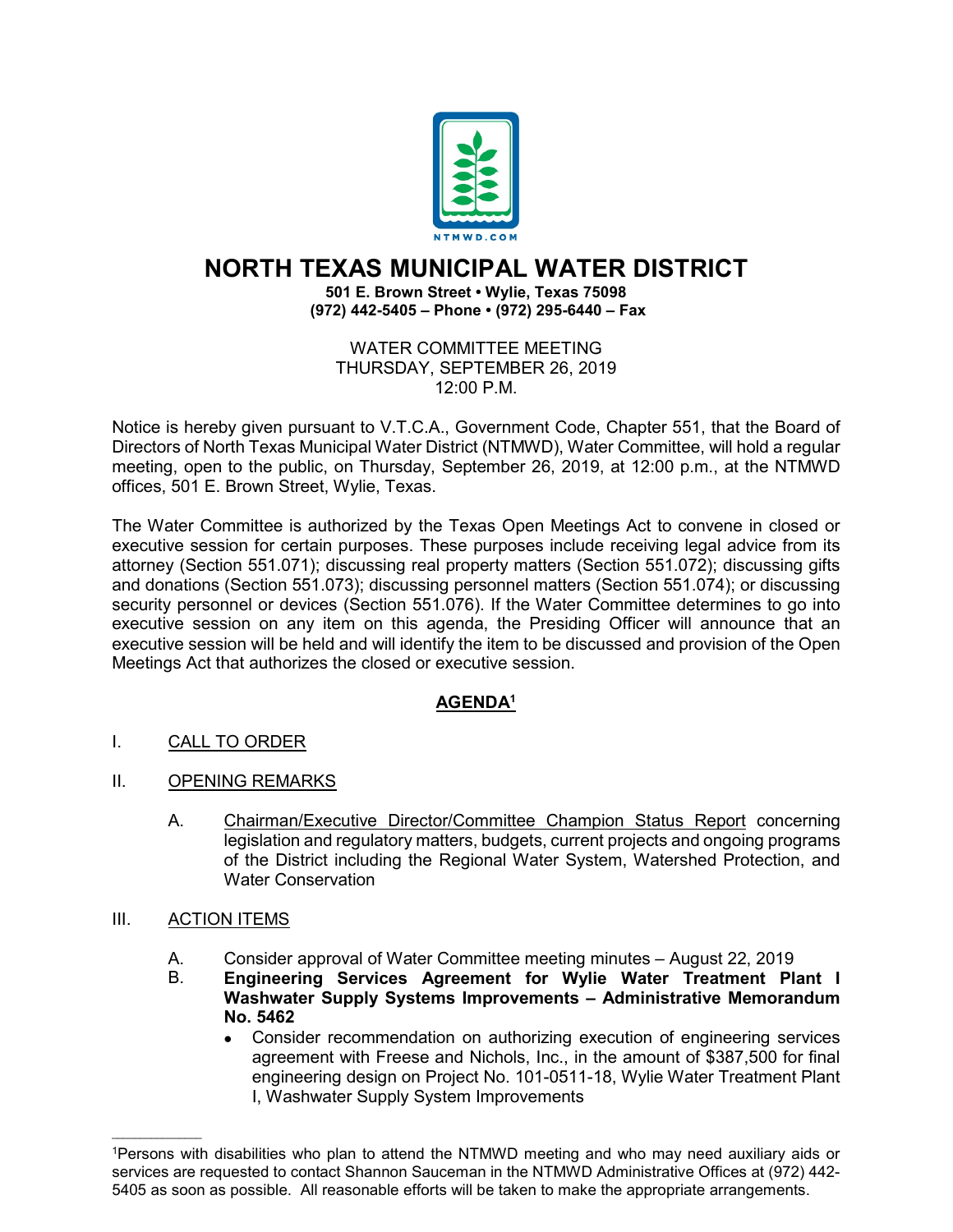

## **NORTH TEXAS MUNICIPAL WATER DISTRICT**

**501 E. Brown Street • Wylie, Texas 75098 (972) 442-5405 – Phone • (972) 295-6440 – Fax**

WATER COMMITTEE MEETING THURSDAY, SEPTEMBER 26, 2019 12:00 P.M.

Notice is hereby given pursuant to V.T.C.A., Government Code, Chapter 551, that the Board of Directors of North Texas Municipal Water District (NTMWD), Water Committee, will hold a regular meeting, open to the public, on Thursday, September 26, 2019, at 12:00 p.m., at the NTMWD offices, 501 E. Brown Street, Wylie, Texas.

The Water Committee is authorized by the Texas Open Meetings Act to convene in closed or executive session for certain purposes. These purposes include receiving legal advice from its attorney (Section 551.071); discussing real property matters (Section 551.072); discussing gifts and donations (Section 551.073); discussing personnel matters (Section 551.074); or discussing security personnel or devices (Section 551.076). If the Water Committee determines to go into executive session on any item on this agenda, the Presiding Officer will announce that an executive session will be held and will identify the item to be discussed and provision of the Open Meetings Act that authorizes the closed or executive session.

## **AGENDA1**

- I. CALL TO ORDER
- II. OPENING REMARKS
	- A. Chairman/Executive Director/Committee Champion Status Report concerning legislation and regulatory matters, budgets, current projects and ongoing programs of the District including the Regional Water System, Watershed Protection, and Water Conservation
- III. ACTION ITEMS

 $\mathcal{L}_\text{max}$  and  $\mathcal{L}_\text{max}$  and  $\mathcal{L}_\text{max}$ 

- A. Consider approval of Water Committee meeting minutes August 22, 2019<br>B. **Engineering Services Agreement for Wylie Water Treatment Pl**a
- B. **Engineering Services Agreement for Wylie Water Treatment Plant I Washwater Supply Systems Improvements – Administrative Memorandum No. 5462**
	- Consider recommendation on authorizing execution of engineering services agreement with Freese and Nichols, Inc., in the amount of \$387,500 for final engineering design on Project No. 101-0511-18, Wylie Water Treatment Plant I, Washwater Supply System Improvements

<sup>1</sup>Persons with disabilities who plan to attend the NTMWD meeting and who may need auxiliary aids or services are requested to contact Shannon Sauceman in the NTMWD Administrative Offices at (972) 442- 5405 as soon as possible. All reasonable efforts will be taken to make the appropriate arrangements.